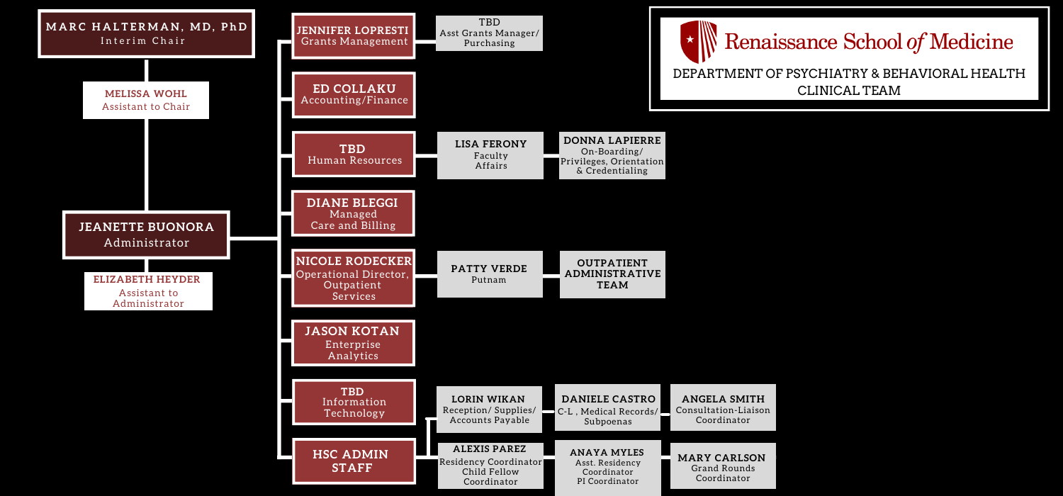Grand Rounds Coordinator ANAYA MYLES<br>Asst. Residency

**Coordinator** PI Coordinator **ANAYA MYLES**

#### Asst Grants Manager/ Purchasing TBD

# **IW Renaissance School of Medicine** DEPARTMENT OF PSYCHIATRY & BEHAVIORAL HEALTH CLINICAL TEAM

### Faculty Affairs **LISA FERONY**



On-Boarding/ Privileges, Orientation & Credentialing **DONNA LAPIERRE**

Putnam **PATTY VERDE**

**OUTPATIENT ADMINISTRATIVE TEAM**

Residency Coordinator Child Fellow Coordinator

Reception/ Supplies/ Accounts Payable **LORIN WIKAN ALEXIS PAREZ** C-L , Medical Records/ Subpoenas **DANIELE CASTRO** Consultation-Liaison

Coordinator

**ANGELA SMITH**